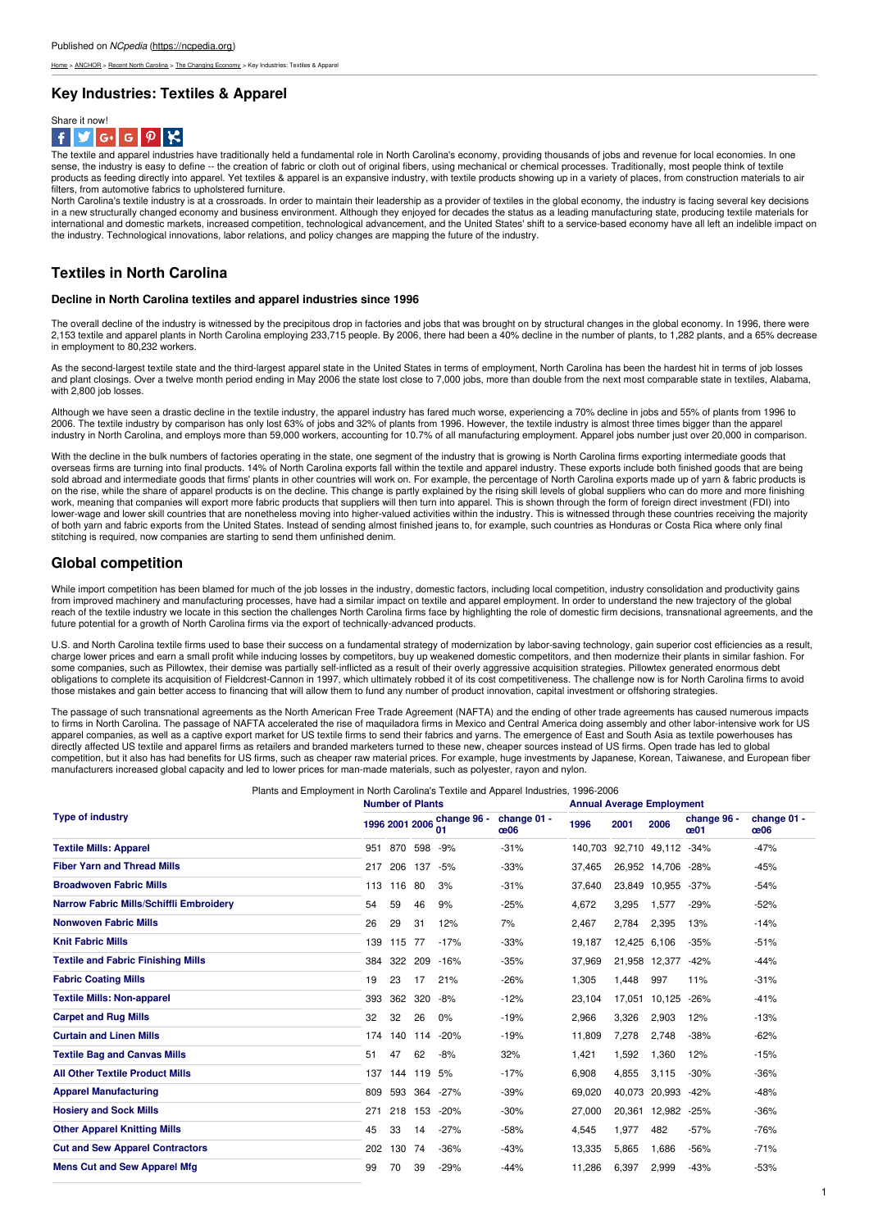me > [ANCHOR](https://ncpedia.org/anchor/anchor) > Recent North [Carolina](https://ncpedia.org/anchor/recent-north-carolina) > The [Changing](https://ncpedia.org/anchor/changing-economy) Economy > Key Industries: Textiles & App

## **Key Industries: Textiles & Apparel**



The textile and apparel industries have traditionally held a fundamental role in North Carolina's economy, providing thousands of jobs and revenue for local economies. In one sense, the industry is easy to define -- the creation of fabric or cloth out of original fibers, using mechanical or chemical processes. Traditionally, most people think of textile products as feeding directly into apparel. Yet textiles & apparel is an expansive industry, with textile products showing up in a variety of places, from construction materials to air<br>filters, from automotive fabrics to up

North Carolina's textile industry is at a crossroads. In order to maintain their leadership as a provider of textiles in the global economy, the industry is facing several key decisions in a new structurally changed economy and business environment. Although they enjoyed for decades the status as a leading manufacturing state, producing textile materials for international and domestic markets, increased competition, technological advancement, and the United States' shift to a service-based economy have all left an indelible impact on the industry. Technological innovations, labor relations, and policy changes are mapping the future of the industry.

## **Textiles in North Caro[lina](http://www.social9.com)**

## **Decline in North Carolina textiles and apparel industries since 1996**

The overall decline of the industry is witnessed by the precipitous drop in factories and jobs that was brought on by structural changes in the global economy. In 1996, there were 2,153 textile and apparel plants in North Carolina employing 233,715 people. By 2006, there had been a 40% decline in the number of plants, to 1,282 plants, and a 65% decrease in employment to 80,232 workers.

As the second-largest textile state and the third-largest apparel state in the United States in terms of employment, North Carolina has been the hardest hit in terms of job losses and plant closings. Over a twelve month period ending in May 2006 the state lost close to 7,000 jobs, more than double from the next most comparable state in textiles, Alabama, with 2,800 job losses.

Although we have seen a drastic decline in the textile industry, the apparel industry has fared much worse, experiencing a 70% decline in jobs and 55% of plants from 1996 to 2006. The textile industry by comparison has only lost 63% of jobs and 32% of plants from 1996. However, the textile industry is almost three times bigger than the apparel<br>industry in North Carolina, and employs more than

With the decline in the bulk numbers of factories operating in the state, one segment of the industry that is growing is North Carolina firms exporting intermediate goods that overseas firms are turning into final products. 14% of North Carolina exports fall within the textile and apparel industry. These exports include both finished goods that are being<br>sold abroad and intermediate goods that f on the rise, while the share of apparel products is on the decline. This change is partly explained by the rising skill levels of global suppliers who can do more and more finishing work, meaning that companies will export more fabric products that suppliers will then turn into apparel. This is shown through the form of foreign direct investment (FDI) into lower-wage and lower skill countries that are nonetheless moving into higher-valued activities within the industry. This is witnessed through these countries receiving the majority of both yarn and fabric exports from the United States. Instead of sending almost finished jeans to, for example, such countries as Honduras or Costa Rica where only final<br>stitching is required, now companies are starting

## **Global competition**

While import competition has been blamed for much of the job losses in the industry, domestic factors, including local competition, industry consolidation and productivity gains from improved machinery and manufacturing processes, have had a similar impact on textile and apparel employment. In order to understand the new trajectory of the global reach of the textile industry we locate in this section the challenges North Carolina firms face by highlighting the role of domestic firm decisions, transnational agreements, and the future potential for a growth of North Carolina firms via the export of technically-advanced products.

U.S. and North Carolina textile firms used to base their success on a fundamental strategy of modernization by labor-saving technology, gain superior cost efficiencies as a result,<br>charge lower prices and earn a small prof some companies, such as Pillowtex, their demise was partially self-inflicted as a result of their overly aggressive acquisition strategies. Pillowtex generated enormous debt obligations to complete its acquisition of Fieldcrest-Cannon in 1997, which ultimately robbed it of its cost competitiveness. The challenge now is for North Carolina firms to avoid those mistakes and gain better access to financing that will allow them to fund any number of product innovation, capital investment or offshoring strategies.

The passage of such transnational agreements as the North American Free Trade Agreement (NAFTA) and the ending of other trade agreements has caused numerous impacts to firms in North Carolina. The passage of NAFTA accelerated the rise of maquiladora firms in Mexico and Central America doing assembly and other labor-intensive work for US apparel companies, as well as a captive export market for US textile firms to send their fabrics and yarns. The emergence of East and South Asia as textile powerhouses has<br>directly affected US textile and apparel firms as competition, but it also has had benefits for US firms, such as cheaper raw material prices. For example, huge investments by Japanese, Korean, Taiwanese, and European fiber manufacturers increased global capacity and led to lower prices for man-made materials, such as polyester, rayon and nylon.

Plants and Employment in North Carolina's Textile and Apparel Industries, 1996-2006

| <b>Type of industry</b>                   | <b>Number of Plants</b> |                |     | <b>Annual Average Employment</b> |                    |         |              |               |                    |                    |
|-------------------------------------------|-------------------------|----------------|-----|----------------------------------|--------------------|---------|--------------|---------------|--------------------|--------------------|
|                                           |                         | 1996 2001 2006 |     | change 96 -<br>01                | change 01 -<br>œ06 | 1996    | 2001         | 2006          | change 96 -<br>œ01 | change 01 -<br>œ06 |
| <b>Textile Mills: Apparel</b>             | 951                     | 870            | 598 | $-9%$                            | $-31%$             | 140.703 |              | 92,710 49,112 | $-34%$             | $-47%$             |
| <b>Fiber Yarn and Thread Mills</b>        | 217                     | 206            | 137 | -5%                              | $-33%$             | 37.465  |              | 26,952 14,706 | $-28%$             | $-45%$             |
| <b>Broadwoven Fabric Mills</b>            | 113                     | 116            | -80 | 3%                               | $-31%$             | 37.640  |              | 23,849 10,955 | $-37%$             | $-54%$             |
| Narrow Fabric Mills/Schiffli Embroidery   | 54                      | 59             | 46  | 9%                               | $-25%$             | 4,672   | 3,295        | 1,577         | $-29%$             | $-52%$             |
| <b>Nonwoven Fabric Mills</b>              | 26                      | 29             | 31  | 12%                              | 7%                 | 2,467   | 2,784        | 2,395         | 13%                | $-14%$             |
| <b>Knit Fabric Mills</b>                  | 139                     | 115            | 77  | $-17%$                           | $-33%$             | 19.187  | 12.425 6.106 |               | $-35%$             | $-51%$             |
| <b>Textile and Fabric Finishing Mills</b> | 384                     | 322            | 209 | $-16%$                           | $-35%$             | 37,969  |              | 21.958 12.377 | $-42%$             | $-44%$             |
| <b>Fabric Coating Mills</b>               | 19                      | 23             | 17  | 21%                              | $-26%$             | 1,305   | 1.448        | 997           | 11%                | $-31%$             |
| <b>Textile Mills: Non-apparel</b>         | 393                     | 362            | 320 | -8%                              | $-12%$             | 23,104  | 17,051       | 10,125        | $-26%$             | $-41%$             |
| <b>Carpet and Rug Mills</b>               | 32                      | 32             | 26  | $0\%$                            | $-19%$             | 2,966   | 3,326        | 2,903         | 12%                | $-13%$             |
| <b>Curtain and Linen Mills</b>            | 174                     | 140            | 114 | $-20%$                           | $-19%$             | 11.809  | 7,278        | 2.748         | $-38%$             | $-62%$             |
| <b>Textile Bag and Canvas Mills</b>       | 51                      | 47             | 62  | $-8%$                            | 32%                | 1,421   | 1,592        | 1,360         | 12%                | $-15%$             |
| <b>All Other Textile Product Mills</b>    | 137                     | 144            | 119 | 5%                               | $-17%$             | 6,908   | 4,855        | 3,115         | $-30%$             | $-36%$             |
| <b>Apparel Manufacturing</b>              | 809                     | 593            | 364 | $-27%$                           | $-39%$             | 69,020  | 40,073       | 20,993        | $-42%$             | $-48%$             |
| <b>Hosiery and Sock Mills</b>             | 271                     | 218            | 153 | $-20%$                           | $-30%$             | 27,000  | 20,361       | 12,982        | $-25%$             | $-36%$             |
| <b>Other Apparel Knitting Mills</b>       | 45                      | 33             | 14  | $-27%$                           | $-58%$             | 4,545   | 1,977        | 482           | $-57%$             | $-76%$             |
| <b>Cut and Sew Apparel Contractors</b>    | 202                     | 130            | 74  | $-36%$                           | $-43%$             | 13,335  | 5,865        | 1,686         | $-56%$             | $-71%$             |
| <b>Mens Cut and Sew Apparel Mfg</b>       | 99                      | 70             | 39  | $-29%$                           | $-44%$             | 11,286  | 6,397        | 2,999         | $-43%$             | $-53%$             |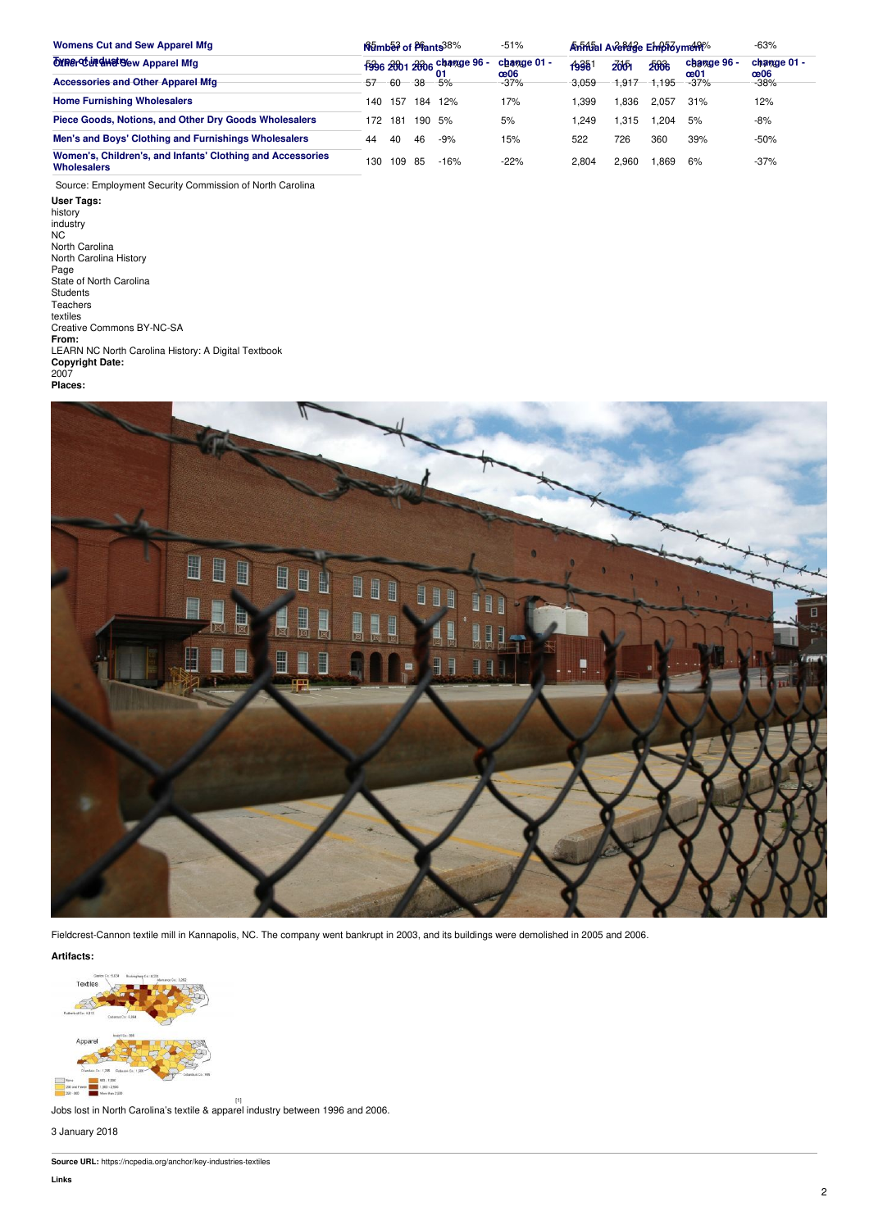| <b>Womens Cut and Sew Apparel Mfg</b>                                                                                                                  | Namber of Plants 38% |     |     |                                  | $-51%$             | Animial Average Empioyment |       |       |                    | $-63%$             |
|--------------------------------------------------------------------------------------------------------------------------------------------------------|----------------------|-----|-----|----------------------------------|--------------------|----------------------------|-------|-------|--------------------|--------------------|
| <b>OXRE CUP SHOTS Apparel Mfg</b>                                                                                                                      |                      |     |     | 1996 2001 2006 change 96 -<br>01 | change 01 -<br>œ06 | 19981                      | 2001  | 2006  | change 96 -<br>œ01 | change 01 -<br>œ06 |
| <b>Accessories and Other Apparel Mfg</b>                                                                                                               | 57                   | -60 | -38 | $-5%$                            | $-37%$             | 3,059                      | 1,917 | 1,195 | $-37%$             | $-38%$             |
| <b>Home Furnishing Wholesalers</b>                                                                                                                     | 140                  | 157 |     | 184 12%                          | 17%                | 1,399                      | 1,836 | 2,057 | 31%                | 12%                |
| Piece Goods, Notions, and Other Dry Goods Wholesalers                                                                                                  | 172                  | 181 |     | 190 5%                           | 5%                 | 1,249                      | 1,315 | 1,204 | 5%                 | $-8%$              |
| Men's and Boys' Clothing and Furnishings Wholesalers                                                                                                   | 44                   | 40  | 46  | -9%                              | 15%                | 522                        | 726   | 360   | 39%                | $-50%$             |
| Women's, Children's, and Infants' Clothing and Accessories<br><b>Wholesalers</b>                                                                       | 130                  | 109 | 85  | $-16%$                           | $-22%$             | 2,804                      | 2,960 | 1,869 | 6%                 | $-37%$             |
| Source: Employment Security Commission of North Carolina                                                                                               |                      |     |     |                                  |                    |                            |       |       |                    |                    |
| User Tags:<br>history<br>industry<br>NC.<br>North Carolina<br>North Carolina History<br>Page<br>State of North Carolina<br><b>Students</b><br>Teachers |                      |     |     |                                  |                    |                            |       |       |                    |                    |





Fieldcrest-Cannon textile mill in Kannapolis, NC. The company went bankrupt in 2003, and its buildings were demolished in 2005 and 2006.

**Artifacts:**



[1] Jobs lost in North Carolina's textile & apparel industry between 1996 and 2006.

3 January 2018

**Source URL:** https://ncpedia.org/anchor/key-industries-textiles